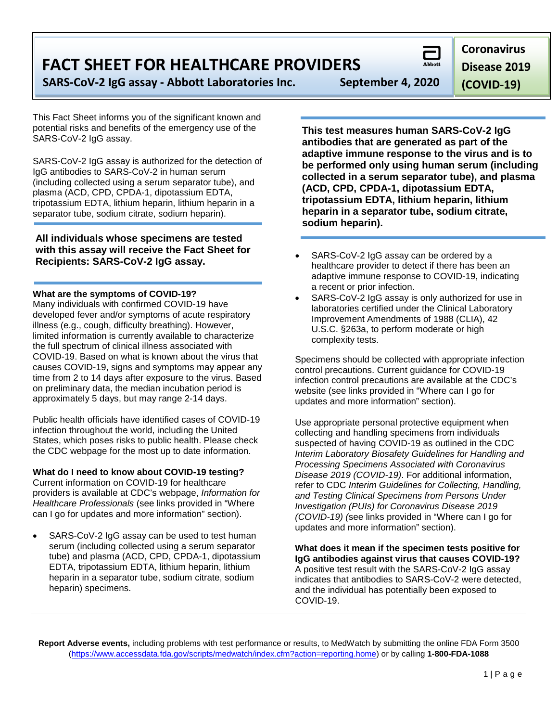**FACT SHEET FOR HEALTHCARE PROVIDERS**

**SARS-CoV-2 IgG assay - Abbott Laboratories Inc. September 4, 2020**

This Fact Sheet informs you of the significant known and potential risks and benefits of the emergency use of the SARS-CoV-2 IgG assay.

SARS-CoV-2 IgG assay is authorized for the detection of IgG antibodies to SARS-CoV-2 in human serum (including collected using a serum separator tube), and plasma (ACD, CPD, CPDA-1, dipotassium EDTA, tripotassium EDTA, lithium heparin, lithium heparin in a separator tube, sodium citrate, sodium heparin).

**All individuals whose specimens are tested with this assay will receive the Fact Sheet for Recipients: SARS-CoV-2 IgG assay.**

**What are the symptoms of COVID-19?**

Many individuals with confirmed COVID-19 have developed fever and/or symptoms of acute respiratory illness (e.g., cough, difficulty breathing). However, limited information is currently available to characterize the full spectrum of clinical illness associated with COVID-19. Based on what is known about the virus that causes COVID-19, signs and symptoms may appear any time from 2 to 14 days after exposure to the virus. Based on preliminary data, the median incubation period is approximately 5 days, but may range 2-14 days.

Public health officials have identified cases of COVID-19 infection throughout the world, including the United States, which poses risks to public health. Please check the CDC webpage for the most up to date information.

**What do I need to know about COVID-19 testing?**

Current information on COVID-19 for healthcare providers is available at CDC's webpage, *Information for Healthcare Professionals* (see links provided in "Where can I go for updates and more information" section).

SARS-CoV-2 IgG assay can be used to test human serum (including collected using a serum separator tube) and plasma (ACD, CPD, CPDA-1, dipotassium EDTA, tripotassium EDTA, lithium heparin, lithium heparin in a separator tube, sodium citrate, sodium heparin) specimens.

**This test measures human SARS-CoV-2 IgG antibodies that are generated as part of the adaptive immune response to the virus and is to be performed only using human serum (including collected in a serum separator tube), and plasma (ACD, CPD, CPDA-1, dipotassium EDTA, tripotassium EDTA, lithium heparin, lithium heparin in a separator tube, sodium citrate, sodium heparin).**

- SARS-CoV-2 IgG assay can be ordered by a healthcare provider to detect if there has been an adaptive immune response to COVID-19, indicating a recent or prior infection.
- SARS-CoV-2 IgG assay is only authorized for use in laboratories certified under the Clinical Laboratory Improvement Amendments of 1988 (CLIA), 42 U.S.C. §263a, to perform moderate or high complexity tests.

Specimens should be collected with appropriate infection control precautions. Current guidance for COVID-19 infection control precautions are available at the CDC's website (see links provided in "Where can I go for updates and more information" section).

Use appropriate personal protective equipment when collecting and handling specimens from individuals suspected of having COVID-19 as outlined in the CDC *Interim Laboratory Biosafety Guidelines for Handling and Processing Specimens Associated with Coronavirus Disease 2019 (COVID-19)*. For additional information, refer to CDC *Interim Guidelines for Collecting, Handling, and Testing Clinical Specimens from Persons Under Investigation (PUIs) for Coronavirus Disease 2019 (COVID-19) (*see links provided in "Where can I go for updates and more information" section).

**What does it mean if the specimen tests positive for IgG antibodies against virus that causes COVID-19?** A positive test result with the SARS-CoV-2 IgG assay indicates that antibodies to SARS-CoV-2 were detected, and the individual has potentially been exposed to COVID-19.

**Report Adverse events,** including problems with test performance or results, to MedWatch by submitting the online FDA Form 3500 [\(https://www.accessdata.fda.gov/scripts/medwatch/index.cfm?action=reporting.home\)](https://www.accessdata.fda.gov/scripts/medwatch/index.cfm?action=reporting.home) or by calling **1-800-FDA-1088**

**Coronavirus** 

**Disease 2019** 

**(COVID-19)**

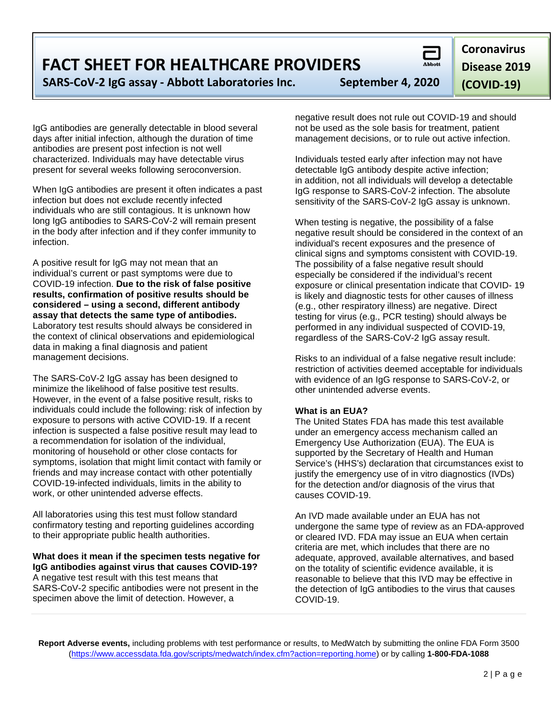2 | Page

### **FACT SHEET FOR HEALTHCARE PROVIDERS**

**SARS-CoV-2 IgG assay - Abbott Laboratories Inc. September 4, 2020**

IgG antibodies are generally detectable in blood several days after initial infection, although the duration of time antibodies are present post infection is not well characterized. Individuals may have detectable virus present for several weeks following seroconversion.

When IgG antibodies are present it often indicates a past infection but does not exclude recently infected individuals who are still contagious. It is unknown how long IgG antibodies to SARS-CoV-2 will remain present in the body after infection and if they confer immunity to infection.

A positive result for IgG may not mean that an individual's current or past symptoms were due to COVID-19 infection. **Due to the risk of false positive results, confirmation of positive results should be considered – using a second, different antibody assay that detects the same type of antibodies.** Laboratory test results should always be considered in the context of clinical observations and epidemiological data in making a final diagnosis and patient management decisions.

The SARS-CoV-2 IgG assay has been designed to minimize the likelihood of false positive test results. However, in the event of a false positive result, risks to individuals could include the following: risk of infection by exposure to persons with active COVID-19. If a recent infection is suspected a false positive result may lead to a recommendation for isolation of the individual, monitoring of household or other close contacts for symptoms, isolation that might limit contact with family or friends and may increase contact with other potentially COVID-19-infected individuals, limits in the ability to work, or other unintended adverse effects.

All laboratories using this test must follow standard confirmatory testing and reporting guidelines according to their appropriate public health authorities.

#### **What does it mean if the specimen tests negative for IgG antibodies against virus that causes COVID-19?** A negative test result with this test means that SARS-CoV-2 specific antibodies were not present in the specimen above the limit of detection. However, a

negative result does not rule out COVID-19 and should not be used as the sole basis for treatment, patient management decisions, or to rule out active infection.

Individuals tested early after infection may not have detectable IgG antibody despite active infection; in addition, not all individuals will develop a detectable IgG response to SARS-CoV-2 infection. The absolute sensitivity of the SARS-CoV-2 IgG assay is unknown.

When testing is negative, the possibility of a false negative result should be considered in the context of an individual's recent exposures and the presence of clinical signs and symptoms consistent with COVID-19. The possibility of a false negative result should especially be considered if the individual's recent exposure or clinical presentation indicate that COVID- 19 is likely and diagnostic tests for other causes of illness (e.g., other respiratory illness) are negative. Direct testing for virus (e.g., PCR testing) should always be performed in any individual suspected of COVID-19, regardless of the SARS-CoV-2 IgG assay result.

Risks to an individual of a false negative result include: restriction of activities deemed acceptable for individuals with evidence of an IgG response to SARS-CoV-2, or other unintended adverse events.

#### **What is an EUA?**

**Report Adverse events,** including problems with test performance or results, to MedWatch by submitting the online FDA Form 3500 [\(https://www.accessdata.fda.gov/scripts/medwatch/index.cfm?action=reporting.home\)](https://www.accessdata.fda.gov/scripts/medwatch/index.cfm?action=reporting.home) or by calling **1-800-FDA-1088**

The United States FDA has made this test available under an emergency access mechanism called an Emergency Use Authorization (EUA). The EUA is supported by the Secretary of Health and Human Service's (HHS's) declaration that circumstances exist to justify the emergency use of in vitro diagnostics (IVDs) for the detection and/or diagnosis of the virus that causes COVID-19.

An IVD made available under an EUA has not undergone the same type of review as an FDA-approved or cleared IVD. FDA may issue an EUA when certain criteria are met, which includes that there are no adequate, approved, available alternatives, and based on the totality of scientific evidence available, it is reasonable to believe that this IVD may be effective in the detection of IgG antibodies to the virus that causes COVID-19.

**Disease 2019 (COVID-19)**



# **Coronavirus**